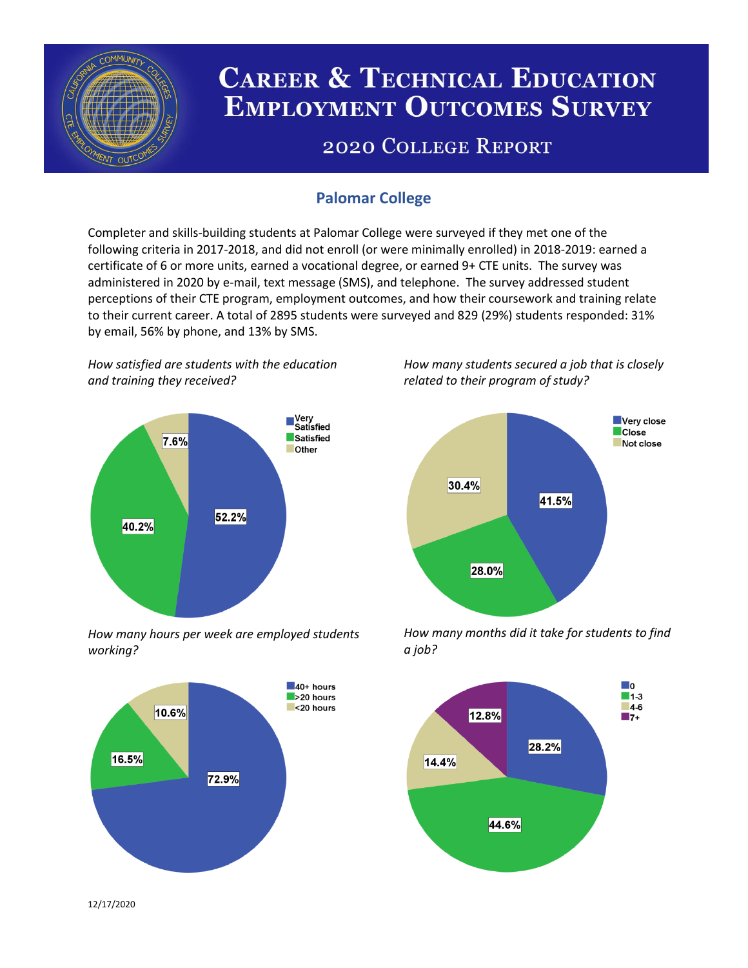

# **CAREER & TECHNICAL EDUCATION EMPLOYMENT OUTCOMES SURVEY**

## **2020 COLLEGE REPORT**

## **Palomar College**

Completer and skills-building students at Palomar College were surveyed if they met one of the following criteria in 2017-2018, and did not enroll (or were minimally enrolled) in 2018-2019: earned a certificate of 6 or more units, earned a vocational degree, or earned 9+ CTE units. The survey was administered in 2020 by e-mail, text message (SMS), and telephone. The survey addressed student perceptions of their CTE program, employment outcomes, and how their coursework and training relate to their current career. A total of 2895 students were surveyed and 829 (29%) students responded: 31% by email, 56% by phone, and 13% by SMS.

*How satisfied are students with the education and training they received?*



*How many hours per week are employed students working?*



*How many students secured a job that is closely related to their program of study?*



*How many months did it take for students to find a job?*



12/17/2020